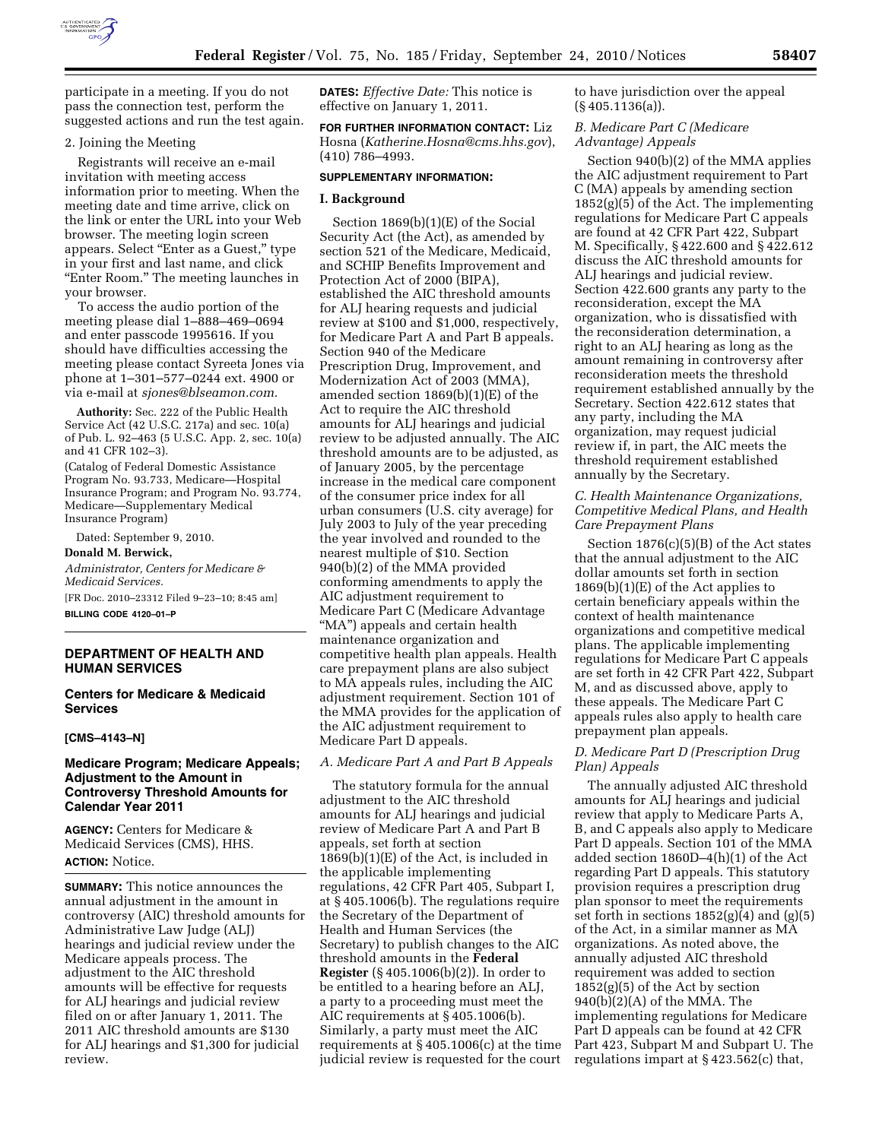

participate in a meeting. If you do not pass the connection test, perform the suggested actions and run the test again.

#### 2. Joining the Meeting

Registrants will receive an e-mail invitation with meeting access information prior to meeting. When the meeting date and time arrive, click on the link or enter the URL into your Web browser. The meeting login screen appears. Select ''Enter as a Guest,'' type in your first and last name, and click ''Enter Room.'' The meeting launches in your browser.

To access the audio portion of the meeting please dial 1–888–469–0694 and enter passcode 1995616. If you should have difficulties accessing the meeting please contact Syreeta Jones via phone at 1–301–577–0244 ext. 4900 or via e-mail at *[sjones@blseamon.com.](mailto:sjones@blseamon.com)* 

**Authority:** Sec. 222 of the Public Health Service Act (42 U.S.C. 217a) and sec. 10(a) of Pub. L. 92–463 (5 U.S.C. App. 2, sec. 10(a) and 41 CFR 102–3).

(Catalog of Federal Domestic Assistance Program No. 93.733, Medicare—Hospital Insurance Program; and Program No. 93.774, Medicare—Supplementary Medical Insurance Program)

Dated: September 9, 2010.

**Donald M. Berwick,** 

*Administrator, Centers for Medicare & Medicaid Services.* 

[FR Doc. 2010–23312 Filed 9–23–10; 8:45 am] **BILLING CODE 4120–01–P** 

# **DEPARTMENT OF HEALTH AND HUMAN SERVICES**

**Centers for Medicare & Medicaid Services** 

#### **[CMS–4143–N]**

# **Medicare Program; Medicare Appeals; Adjustment to the Amount in Controversy Threshold Amounts for Calendar Year 2011**

**AGENCY:** Centers for Medicare & Medicaid Services (CMS), HHS. **ACTION:** Notice.

**SUMMARY:** This notice announces the annual adjustment in the amount in controversy (AIC) threshold amounts for Administrative Law Judge (ALJ) hearings and judicial review under the Medicare appeals process. The adjustment to the AIC threshold amounts will be effective for requests for ALJ hearings and judicial review filed on or after January 1, 2011. The 2011 AIC threshold amounts are \$130 for ALJ hearings and \$1,300 for judicial review.

**DATES:** *Effective Date:* This notice is effective on January 1, 2011.

**FOR FURTHER INFORMATION CONTACT:** Liz Hosna (*[Katherine.Hosna@cms.hhs.gov](mailto:Katherine.Hosna@cms.hhs.gov)*), (410) 786–4993.

#### **SUPPLEMENTARY INFORMATION:**

#### **I. Background**

Section 1869(b)(1)(E) of the Social Security Act (the Act), as amended by section 521 of the Medicare, Medicaid, and SCHIP Benefits Improvement and Protection Act of 2000 (BIPA), established the AIC threshold amounts for ALJ hearing requests and judicial review at \$100 and \$1,000, respectively, for Medicare Part A and Part B appeals. Section 940 of the Medicare Prescription Drug, Improvement, and Modernization Act of 2003 (MMA), amended section 1869(b)(1)(E) of the Act to require the AIC threshold amounts for ALJ hearings and judicial review to be adjusted annually. The AIC threshold amounts are to be adjusted, as of January 2005, by the percentage increase in the medical care component of the consumer price index for all urban consumers (U.S. city average) for July 2003 to July of the year preceding the year involved and rounded to the nearest multiple of \$10. Section 940(b)(2) of the MMA provided conforming amendments to apply the AIC adjustment requirement to Medicare Part C (Medicare Advantage ''MA'') appeals and certain health maintenance organization and competitive health plan appeals. Health care prepayment plans are also subject to MA appeals rules, including the AIC adjustment requirement. Section 101 of the MMA provides for the application of the AIC adjustment requirement to Medicare Part D appeals.

## *A. Medicare Part A and Part B Appeals*

The statutory formula for the annual adjustment to the AIC threshold amounts for ALJ hearings and judicial review of Medicare Part A and Part B appeals, set forth at section 1869(b)(1)(E) of the Act, is included in the applicable implementing regulations, 42 CFR Part 405, Subpart I, at § 405.1006(b). The regulations require the Secretary of the Department of Health and Human Services (the Secretary) to publish changes to the AIC threshold amounts in the **Federal Register** (§ 405.1006(b)(2)). In order to be entitled to a hearing before an ALJ, a party to a proceeding must meet the AIC requirements at § 405.1006(b). Similarly, a party must meet the AIC requirements at § 405.1006(c) at the time judicial review is requested for the court to have jurisdiction over the appeal (§ 405.1136(a)).

## *B. Medicare Part C (Medicare Advantage) Appeals*

Section 940(b)(2) of the MMA applies the AIC adjustment requirement to Part C (MA) appeals by amending section 1852(g)(5) of the Act. The implementing regulations for Medicare Part C appeals are found at 42 CFR Part 422, Subpart M. Specifically, § 422.600 and § 422.612 discuss the AIC threshold amounts for ALJ hearings and judicial review. Section 422.600 grants any party to the reconsideration, except the MA organization, who is dissatisfied with the reconsideration determination, a right to an ALJ hearing as long as the amount remaining in controversy after reconsideration meets the threshold requirement established annually by the Secretary. Section 422.612 states that any party, including the MA organization, may request judicial review if, in part, the AIC meets the threshold requirement established annually by the Secretary.

### *C. Health Maintenance Organizations, Competitive Medical Plans, and Health Care Prepayment Plans*

Section 1876(c)(5)(B) of the Act states that the annual adjustment to the AIC dollar amounts set forth in section 1869(b)(1)(E) of the Act applies to certain beneficiary appeals within the context of health maintenance organizations and competitive medical plans. The applicable implementing regulations for Medicare Part C appeals are set forth in 42 CFR Part 422, Subpart M, and as discussed above, apply to these appeals. The Medicare Part C appeals rules also apply to health care prepayment plan appeals.

### *D. Medicare Part D (Prescription Drug Plan) Appeals*

The annually adjusted AIC threshold amounts for ALJ hearings and judicial review that apply to Medicare Parts A, B, and C appeals also apply to Medicare Part D appeals. Section 101 of the MMA added section 1860D–4(h)(1) of the Act regarding Part D appeals. This statutory provision requires a prescription drug plan sponsor to meet the requirements set forth in sections  $1852(g)(4)$  and  $(g)(5)$ of the Act, in a similar manner as MA organizations. As noted above, the annually adjusted AIC threshold requirement was added to section 1852(g)(5) of the Act by section 940(b)(2)(A) of the MMA. The implementing regulations for Medicare Part D appeals can be found at 42 CFR Part 423, Subpart M and Subpart U. The regulations impart at § 423.562(c) that,